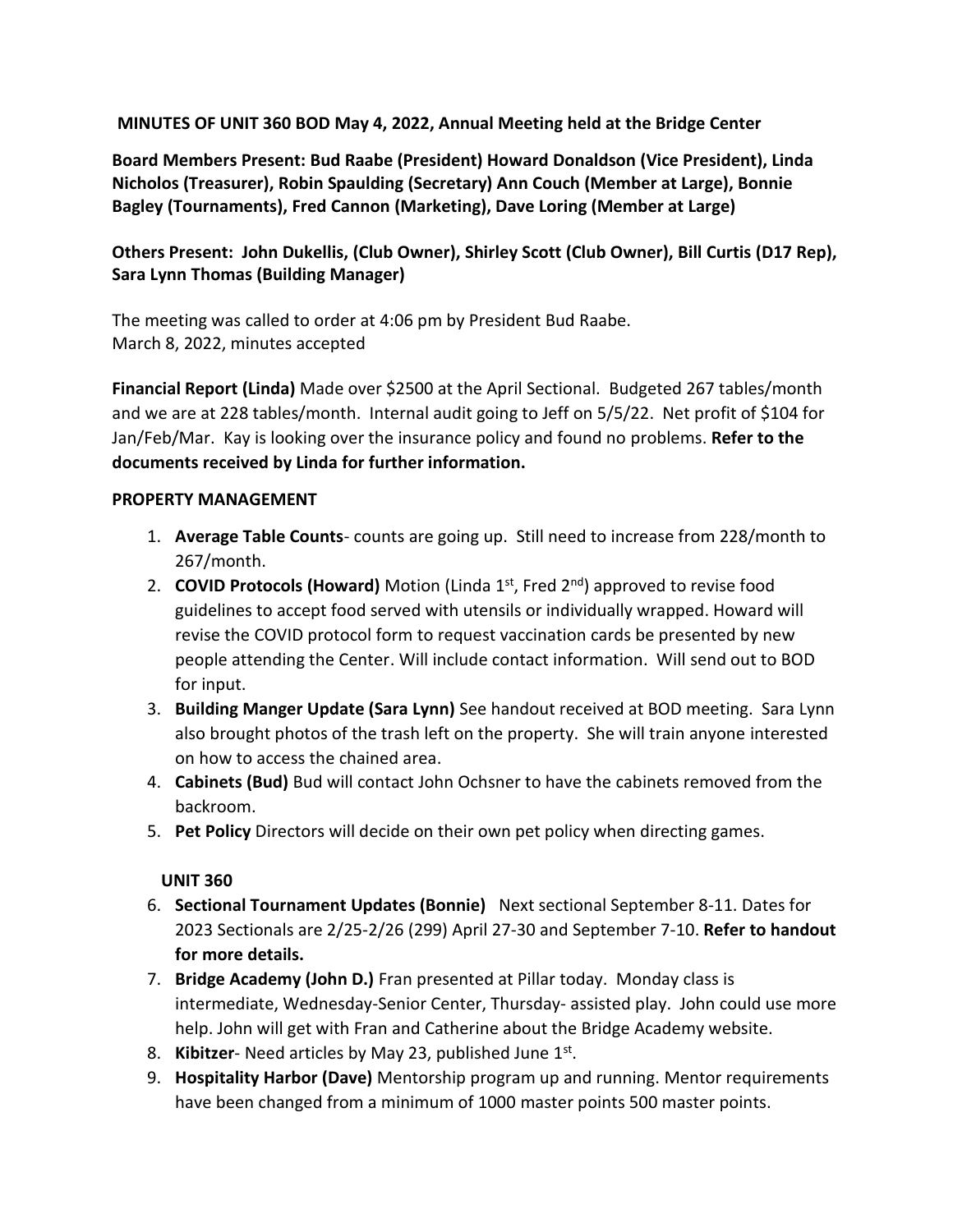**MINUTES OF UNIT 360 BOD May 4, 2022, Annual Meeting held at the Bridge Center**

**Board Members Present: Bud Raabe (President) Howard Donaldson (Vice President), Linda Nicholos (Treasurer), Robin Spaulding (Secretary) Ann Couch (Member at Large), Bonnie Bagley (Tournaments), Fred Cannon (Marketing), Dave Loring (Member at Large)**

## **Others Present: John Dukellis, (Club Owner), Shirley Scott (Club Owner), Bill Curtis (D17 Rep), Sara Lynn Thomas (Building Manager)**

The meeting was called to order at 4:06 pm by President Bud Raabe. March 8, 2022, minutes accepted

**Financial Report (Linda)** Made over \$2500 at the April Sectional. Budgeted 267 tables/month and we are at 228 tables/month. Internal audit going to Jeff on 5/5/22. Net profit of \$104 for Jan/Feb/Mar. Kay is looking over the insurance policy and found no problems. **Refer to the documents received by Linda for further information.**

## **PROPERTY MANAGEMENT**

- 1. **Average Table Counts** counts are going up. Still need to increase from 228/month to 267/month.
- 2. **COVID Protocols (Howard)** Motion (Linda 1st, Fred 2nd) approved to revise food guidelines to accept food served with utensils or individually wrapped. Howard will revise the COVID protocol form to request vaccination cards be presented by new people attending the Center. Will include contact information. Will send out to BOD for input.
- 3. **Building Manger Update (Sara Lynn)** See handout received at BOD meeting. Sara Lynn also brought photos of the trash left on the property. She will train anyone interested on how to access the chained area.
- 4. **Cabinets (Bud)** Bud will contact John Ochsner to have the cabinets removed from the backroom.
- 5. **Pet Policy** Directors will decide on their own pet policy when directing games.

## **UNIT 360**

- 6. **Sectional Tournament Updates (Bonnie)** Next sectional September 8-11. Dates for 2023 Sectionals are 2/25-2/26 (299) April 27-30 and September 7-10. **Refer to handout for more details.**
- 7. **Bridge Academy (John D.)** Fran presented at Pillar today. Monday class is intermediate, Wednesday-Senior Center, Thursday- assisted play. John could use more help. John will get with Fran and Catherine about the Bridge Academy website.
- 8. Kibitzer- Need articles by May 23, published June 1st.
- 9. **Hospitality Harbor (Dave)** Mentorship program up and running. Mentor requirements have been changed from a minimum of 1000 master points 500 master points.